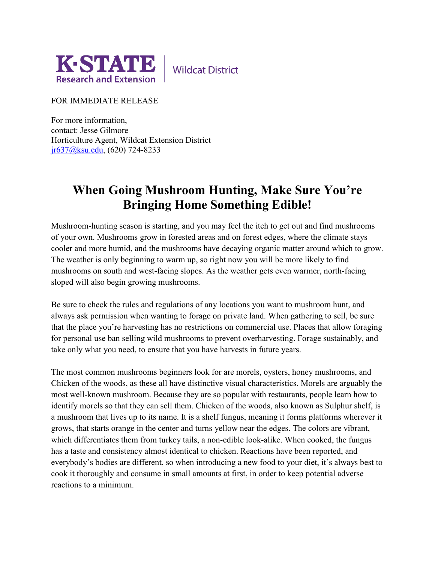

**Wildcat District** 

FOR IMMEDIATE RELEASE

For more information, contact: Jesse Gilmore Horticulture Agent, Wildcat Extension District [jr637@ksu.edu,](mailto:jr637@ksu.edu) (620) 724-8233

## **When Going Mushroom Hunting, Make Sure You're Bringing Home Something Edible!**

Mushroom-hunting season is starting, and you may feel the itch to get out and find mushrooms of your own. Mushrooms grow in forested areas and on forest edges, where the climate stays cooler and more humid, and the mushrooms have decaying organic matter around which to grow. The weather is only beginning to warm up, so right now you will be more likely to find mushrooms on south and west-facing slopes. As the weather gets even warmer, north-facing sloped will also begin growing mushrooms.

Be sure to check the rules and regulations of any locations you want to mushroom hunt, and always ask permission when wanting to forage on private land. When gathering to sell, be sure that the place you're harvesting has no restrictions on commercial use. Places that allow foraging for personal use ban selling wild mushrooms to prevent overharvesting. Forage sustainably, and take only what you need, to ensure that you have harvests in future years.

The most common mushrooms beginners look for are morels, oysters, honey mushrooms, and Chicken of the woods, as these all have distinctive visual characteristics. Morels are arguably the most well-known mushroom. Because they are so popular with restaurants, people learn how to identify morels so that they can sell them. Chicken of the woods, also known as Sulphur shelf, is a mushroom that lives up to its name. It is a shelf fungus, meaning it forms platforms wherever it grows, that starts orange in the center and turns yellow near the edges. The colors are vibrant, which differentiates them from turkey tails, a non-edible look-alike. When cooked, the fungus has a taste and consistency almost identical to chicken. Reactions have been reported, and everybody's bodies are different, so when introducing a new food to your diet, it's always best to cook it thoroughly and consume in small amounts at first, in order to keep potential adverse reactions to a minimum.